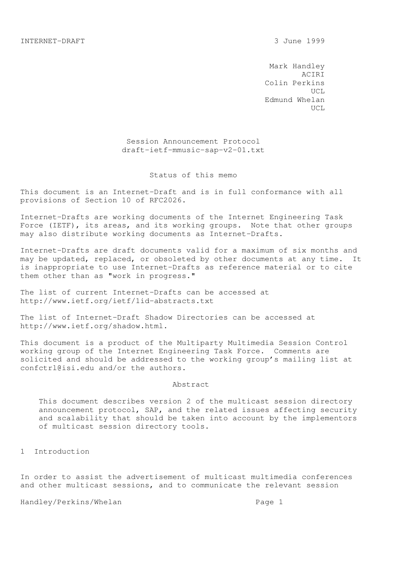Mark Handley ACIRI Colin Perkins UCL Edmund Whelan UCL

> Session Announcement Protocol draft-ietf-mmusic-sap-v2-01.txt

#### Status of this memo

This document is an Internet-Draft and is in full conformance with all provisions of Section 10 of RFC2026.

Internet-Drafts are working documents of the Internet Engineering Task Force (IETF), its areas, and its working groups. Note that other groups may also distribute working documents as Internet-Drafts.

Internet-Drafts are draft documents valid for a maximum of six months and may be updated, replaced, or obsoleted by other documents at any time. It is inappropriate to use Internet-Drafts as reference material or to cite them other than as "work in progress."

The list of current Internet-Drafts can be accessed at http://www.ietf.org/ietf/1id-abstracts.txt

The list of Internet-Draft Shadow Directories can be accessed at http://www.ietf.org/shadow.html.

This document is a product of the Multiparty Multimedia Session Control working group of the Internet Engineering Task Force. Comments are solicited and should be addressed to the working group's mailing list at confctrl@isi.edu and/or the authors.

#### Abstract

 This document describes version 2 of the multicast session directory announcement protocol, SAP, and the related issues affecting security and scalability that should be taken into account by the implementors of multicast session directory tools.

1 Introduction

In order to assist the advertisement of multicast multimedia conferences and other multicast sessions, and to communicate the relevant session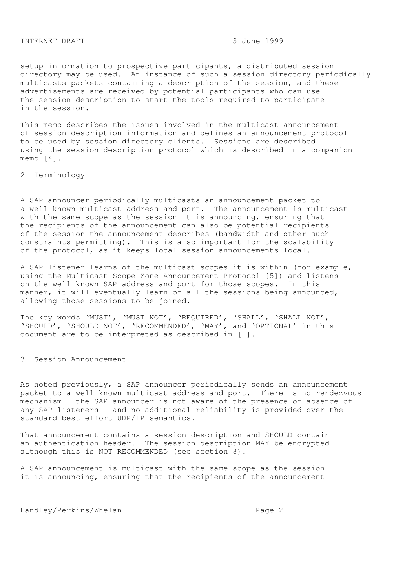setup information to prospective participants, a distributed session directory may be used. An instance of such a session directory periodically multicasts packets containing a description of the session, and these advertisements are received by potential participants who can use the session description to start the tools required to participate in the session.

This memo describes the issues involved in the multicast announcement of session description information and defines an announcement protocol to be used by session directory clients. Sessions are described using the session description protocol which is described in a companion memo [4].

2 Terminology

A SAP announcer periodically multicasts an announcement packet to a well known multicast address and port. The announcement is multicast with the same scope as the session it is announcing, ensuring that the recipients of the announcement can also be potential recipients of the session the announcement describes (bandwidth and other such constraints permitting). This is also important for the scalability of the protocol, as it keeps local session announcements local.

A SAP listener learns of the multicast scopes it is within (for example, using the Multicast-Scope Zone Announcement Protocol [5]) and listens on the well known SAP address and port for those scopes. In this manner, it will eventually learn of all the sessions being announced, allowing those sessions to be joined.

The key words 'MUST', 'MUST NOT', 'REQUIRED', 'SHALL', 'SHALL NOT', 'SHOULD', 'SHOULD NOT', 'RECOMMENDED', 'MAY', and 'OPTIONAL' in this document are to be interpreted as described in [1].

3 Session Announcement

As noted previously, a SAP announcer periodically sends an announcement packet to a well known multicast address and port. There is no rendezvous mechanism - the SAP announcer is not aware of the presence or absence of any SAP listeners - and no additional reliability is provided over the standard best-effort UDP/IP semantics.

That announcement contains a session description and SHOULD contain an authentication header. The session description MAY be encrypted although this is NOT RECOMMENDED (see section 8).

A SAP announcement is multicast with the same scope as the session it is announcing, ensuring that the recipients of the announcement

Handley/Perkins/Whelan extended the Page 2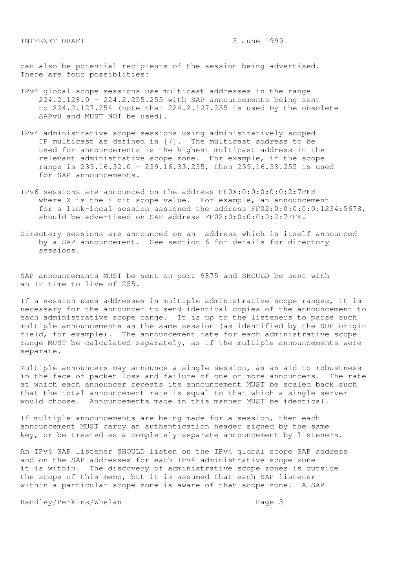can also be potential recipients of the session being advertised. There are four possiblities:

- IPv4 global scope sessions use multicast addresses in the range 224.2.128.0 - 224.2.255.255 with SAP announcements being sent to 224.2.127.254 (note that 224.2.127.255 is used by the obsolete SAPv0 and MUST NOT be used).
- IPv4 administrative scope sessions using administratively scoped IP multicast as defined in [7]. The multicast address to be used for announcements is the highest multicast address in the relevant administrative scope zone. For example, if the scope range is 239.16.32.0 - 239.16.33.255, then 239.16.33.255 is used for SAP announcements.
- IPv6 sessions are announced on the address FF0X:0:0:0:0:0:2:7FFE where X is the 4-bit scope value. For example, an announcement for a link-local session assigned the address FF02:0:0:0:0:0:1234:5678, should be advertised on SAP address FF02:0:0:0:0:0:2:7FFE.
- Directory sessions are announced on an address which is itself announced by a SAP announcement. See section 6 for details for directory sessions.

SAP announcements MUST be sent on port 9875 and SHOULD be sent with an IP time-to-live of 255.

If a session uses addresses in multiple administrative scope ranges, it is necessary for the announcer to send identical copies of the announcement to each administrative scope range. It is up to the listeners to parse such multiple announcements as the same session (as identified by the SDP origin field, for example). The announcement rate for each administrative scope range MUST be calculated separately, as if the multiple announcements were separate.

Multiple announcers may announce a single session, as an aid to robustness in the face of packet loss and failure of one or more announcers. The rate at which each announcer repeats its announcement MUST be scaled back such that the total announcement rate is equal to that which a single server would choose. Announcements made in this manner MUST be identical.

If multiple announcements are being made for a session, then each announcement MUST carry an authentication header signed by the same key, or be treated as a completely separate announcement by listeners.

An IPv4 SAP listener SHOULD listen on the IPv4 global scope SAP address and on the SAP addresses for each IPv4 administrative scope zone it is within. The discovery of administrative scope zones is outside the scope of this memo, but it is assumed that each SAP listener within a particular scope zone is aware of that scope zone. A SAP

Handley/Perkins/Whelan extended the Page 3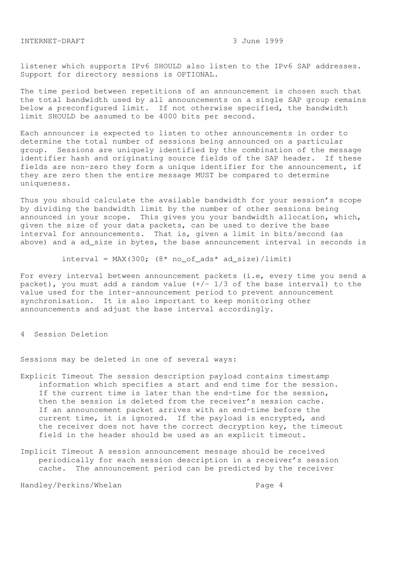listener which supports IPv6 SHOULD also listen to the IPv6 SAP addresses. Support for directory sessions is OPTIONAL.

The time period between repetitions of an announcement is chosen such that the total bandwidth used by all announcements on a single SAP group remains below a preconfigured limit. If not otherwise specified, the bandwidth limit SHOULD be assumed to be 4000 bits per second.

Each announcer is expected to listen to other announcements in order to determine the total number of sessions being announced on a particular group. Sessions are uniquely identified by the combination of the message identifier hash and originating source fields of the SAP header. If these fields are non-zero they form a unique identifier for the announcement, if they are zero then the entire message MUST be compared to determine uniqueness.

Thus you should calculate the available bandwidth for your session's scope by dividing the bandwidth limit by the number of other sessions being announced in your scope. This gives you your bandwidth allocation, which, given the size of your data packets, can be used to derive the base interval for announcements. That is, given a limit in bits/second (as above) and a ad\_size in bytes, the base announcement interval in seconds is

 $interval = MAX(300; (8* no_of_ads* ad_size)/limit)$ 

For every interval between announcement packets (i.e, every time you send a packet), you must add a random value  $(+/- 1/3$  of the base interval) to the value used for the inter-announcement period to prevent announcement synchronisation. It is also important to keep monitoring other announcements and adjust the base interval accordingly.

4 Session Deletion

Sessions may be deleted in one of several ways:

- Explicit Timeout The session description payload contains timestamp information which specifies a start and end time for the session. If the current time is later than the end-time for the session, then the session is deleted from the receiver's session cache. If an announcement packet arrives with an end-time before the current time, it is ignored. If the payload is encrypted, and the receiver does not have the correct decryption key, the timeout field in the header should be used as an explicit timeout.
- Implicit Timeout A session announcement message should be received periodically for each session description in a receiver's session cache. The announcement period can be predicted by the receiver

Handley/Perkins/Whelan extended to the Page 4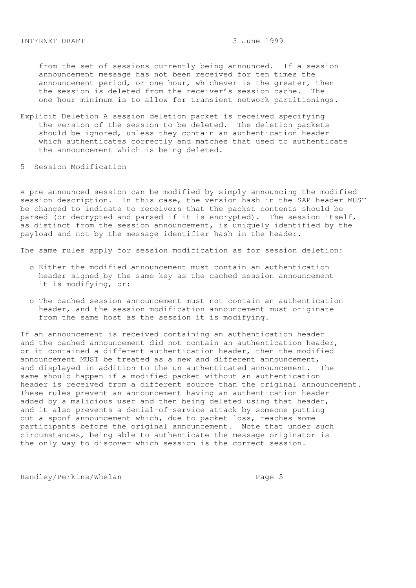from the set of sessions currently being announced. If a session announcement message has not been received for ten times the announcement period, or one hour, whichever is the greater, then the session is deleted from the receiver's session cache. The one hour minimum is to allow for transient network partitionings.

- Explicit Deletion A session deletion packet is received specifying the version of the session to be deleted. The deletion packets should be ignored, unless they contain an authentication header which authenticates correctly and matches that used to authenticate the announcement which is being deleted.
- 5 Session Modification

A pre-announced session can be modified by simply announcing the modified session description. In this case, the version hash in the SAP header MUST be changed to indicate to receivers that the packet contents should be parsed (or decrypted and parsed if it is encrypted). The session itself, as distinct from the session announcement, is uniquely identified by the payload and not by the message identifier hash in the header.

The same rules apply for session modification as for session deletion:

- o Either the modified announcement must contain an authentication header signed by the same key as the cached session announcement it is modifying, or:
- o The cached session announcement must not contain an authentication header, and the session modification announcement must originate from the same host as the session it is modifying.

If an announcement is received containing an authentication header and the cached announcement did not contain an authentication header, or it contained a different authentication header, then the modified announcement MUST be treated as a new and different announcement, and displayed in addition to the un-authenticated announcement. The same should happen if a modified packet without an authentication header is received from a different source than the original announcement. These rules prevent an announcement having an authentication header added by a malicious user and then being deleted using that header, and it also prevents a denial-of-service attack by someone putting out a spoof announcement which, due to packet loss, reaches some participants before the original announcement. Note that under such circumstances, being able to authenticate the message originator is the only way to discover which session is the correct session.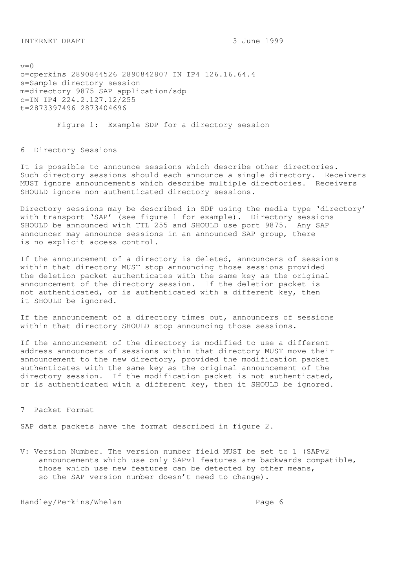$v=0$ o=cperkins 2890844526 2890842807 IN IP4 126.16.64.4 s=Sample directory session m=directory 9875 SAP application/sdp c=IN IP4 224.2.127.12/255 t=2873397496 2873404696

Figure 1: Example SDP for a directory session

6 Directory Sessions

It is possible to announce sessions which describe other directories. Such directory sessions should each announce a single directory. Receivers MUST ignore announcements which describe multiple directories. Receivers SHOULD ignore non-authenticated directory sessions.

Directory sessions may be described in SDP using the media type 'directory' with transport 'SAP' (see figure 1 for example). Directory sessions SHOULD be announced with TTL 255 and SHOULD use port 9875. Any SAP announcer may announce sessions in an announced SAP group, there is no explicit access control.

If the announcement of a directory is deleted, announcers of sessions within that directory MUST stop announcing those sessions provided the deletion packet authenticates with the same key as the original announcement of the directory session. If the deletion packet is not authenticated, or is authenticated with a different key, then it SHOULD be ignored.

If the announcement of a directory times out, announcers of sessions within that directory SHOULD stop announcing those sessions.

If the announcement of the directory is modified to use a different address announcers of sessions within that directory MUST move their announcement to the new directory, provided the modification packet authenticates with the same key as the original announcement of the directory session. If the modification packet is not authenticated, or is authenticated with a different key, then it SHOULD be ignored.

7 Packet Format

SAP data packets have the format described in figure 2.

V: Version Number. The version number field MUST be set to 1 (SAPv2 announcements which use only SAPv1 features are backwards compatible, those which use new features can be detected by other means, so the SAP version number doesn't need to change).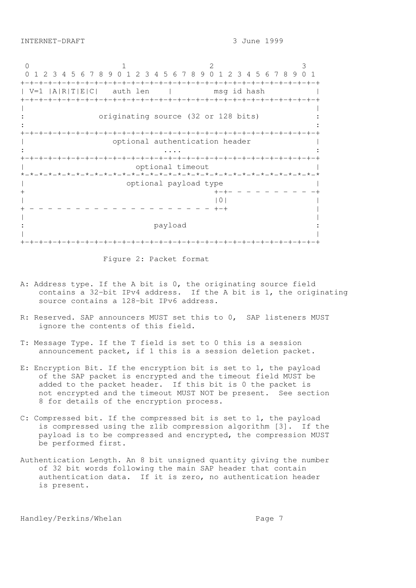0 1 2 3 0 1 2 3 4 5 6 7 8 9 0 1 2 3 4 5 6 7 8 9 0 1 2 3 4 5 6 7 8 9 0 1 +-+-+-+-+-+-+-+-+-+-+-+-+-+-+-+-+-+-+-+-+-+-+-+-+-+-+-+-+-+-+-+-+ | V=1 |A|R|T|E|C| auth len | msg id hash | +-+-+-+-+-+-+-+-+-+-+-+-+-+-+-+-+-+-+-+-+-+-+-+-+-+-+-+-+-+-+-+-+ | | originating source (32 or 128 bits) :  $\mathbf{r} = \mathbf{r} \times \mathbf{r}$  ,  $\mathbf{r} = \mathbf{r} \times \mathbf{r}$  ,  $\mathbf{r} = \mathbf{r} \times \mathbf{r}$  ,  $\mathbf{r} = \mathbf{r} \times \mathbf{r}$  ,  $\mathbf{r} = \mathbf{r} \times \mathbf{r}$  ,  $\mathbf{r} = \mathbf{r} \times \mathbf{r}$  ,  $\mathbf{r} = \mathbf{r} \times \mathbf{r}$  ,  $\mathbf{r} = \mathbf{r} \times \mathbf{r}$  ,  $\mathbf{r} = \mathbf$ +-+-+-+-+-+-+-+-+-+-+-+-+-+-+-+-+-+-+-+-+-+-+-+-+-+-+-+-+-+-+-+-+ | optional authentication header | : .... : +-+-+-+-+-+-+-+-+-+-+-+-+-+-+-+-+-+-+-+-+-+-+-+-+-+-+-+-+-+-+-+-+ optional timeout \*-\*-\*-\*-\*-\*-\*-\*-\*-\*-\*-\*-\*-\*-\*-\*-\*-\*-\*-\*-\*-\*-\*-\*-\*-\*-\*-\*-\*-\*-\*-\*-\* | optional payload type |  $+ - + - - - - - - - - - - +$  $|0|$ + - - - - - - - - - - - - - - - - - - - - +-+ | | | : payload : | | +-+-+-+-+-+-+-+-+-+-+-+-+-+-+-+-+-+-+-+-+-+-+-+-+-+-+-+-+-+-+-+-+

Figure 2: Packet format

- A: Address type. If the A bit is 0, the originating source field contains a 32-bit IPv4 address. If the A bit is 1, the originating source contains a 128-bit IPv6 address.
- R: Reserved. SAP announcers MUST set this to 0, SAP listeners MUST ignore the contents of this field.
- T: Message Type. If the T field is set to 0 this is a session announcement packet, if 1 this is a session deletion packet.
- E: Encryption Bit. If the encryption bit is set to 1, the payload of the SAP packet is encrypted and the timeout field MUST be added to the packet header. If this bit is 0 the packet is not encrypted and the timeout MUST NOT be present. See section 8 for details of the encryption process.
- C: Compressed bit. If the compressed bit is set to 1, the payload is compressed using the zlib compression algorithm [3]. If the payload is to be compressed and encrypted, the compression MUST be performed first.
- Authentication Length. An 8 bit unsigned quantity giving the number of 32 bit words following the main SAP header that contain authentication data. If it is zero, no authentication header is present.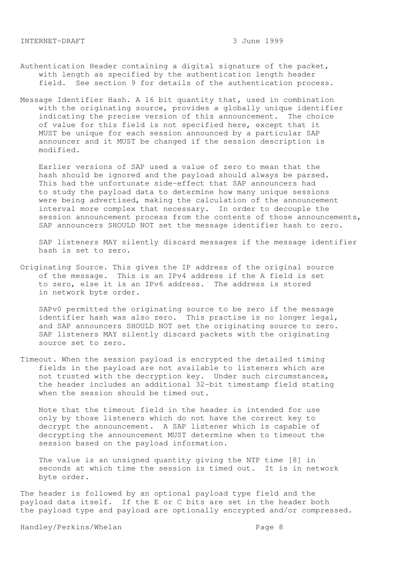- Authentication Header containing a digital signature of the packet, with length as specified by the authentication length header field. See section 9 for details of the authentication process.
- Message Identifier Hash. A 16 bit quantity that, used in combination with the originating source, provides a globally unique identifier indicating the precise version of this announcement. The choice of value for this field is not specified here, except that it MUST be unique for each session announced by a particular SAP announcer and it MUST be changed if the session description is modified.

 Earlier versions of SAP used a value of zero to mean that the hash should be ignored and the payload should always be parsed. This had the unfortunate side-effect that SAP announcers had to study the payload data to determine how many unique sessions were being advertised, making the calculation of the announcement interval more complex that necessary. In order to decouple the session announcement process from the contents of those announcements, SAP announcers SHOULD NOT set the message identifier hash to zero.

 SAP listeners MAY silently discard messages if the message identifier hash is set to zero.

Originating Source. This gives the IP address of the original source of the message. This is an IPv4 address if the A field is set to zero, else it is an IPv6 address. The address is stored in network byte order.

 SAPv0 permitted the originating source to be zero if the message identifier hash was also zero. This practise is no longer legal, and SAP announcers SHOULD NOT set the originating source to zero. SAP listeners MAY silently discard packets with the originating source set to zero.

Timeout. When the session payload is encrypted the detailed timing fields in the payload are not available to listeners which are not trusted with the decryption key. Under such circumstances, the header includes an additional 32-bit timestamp field stating when the session should be timed out.

 Note that the timeout field in the header is intended for use only by those listeners which do not have the correct key to decrypt the announcement. A SAP listener which is capable of decrypting the announcement MUST determine when to timeout the session based on the payload information.

 The value is an unsigned quantity giving the NTP time [8] in seconds at which time the session is timed out. It is in network byte order.

The header is followed by an optional payload type field and the payload data itself. If the E or C bits are set in the header both the payload type and payload are optionally encrypted and/or compressed.

Handley/Perkins/Whelan extended by the Page 8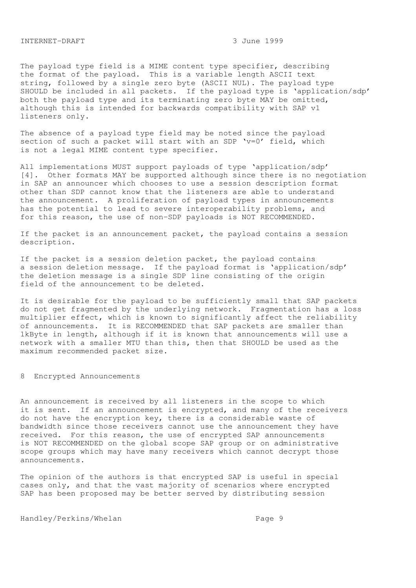The payload type field is a MIME content type specifier, describing the format of the payload. This is a variable length ASCII text string, followed by a single zero byte (ASCII NUL). The payload type SHOULD be included in all packets. If the payload type is 'application/sdp' both the payload type and its terminating zero byte MAY be omitted, although this is intended for backwards compatibility with SAP v1 listeners only.

The absence of a payload type field may be noted since the payload section of such a packet will start with an SDP 'v=0' field, which is not a legal MIME content type specifier.

All implementations MUST support payloads of type 'application/sdp' [4]. Other formats MAY be supported although since there is no negotiation in SAP an announcer which chooses to use a session description format other than SDP cannot know that the listeners are able to understand the announcement. A proliferation of payload types in announcements has the potential to lead to severe interoperability problems, and for this reason, the use of non-SDP payloads is NOT RECOMMENDED.

If the packet is an announcement packet, the payload contains a session description.

If the packet is a session deletion packet, the payload contains a session deletion message. If the payload format is 'application/sdp' the deletion message is a single SDP line consisting of the origin field of the announcement to be deleted.

It is desirable for the payload to be sufficiently small that SAP packets do not get fragmented by the underlying network. Fragmentation has a loss multiplier effect, which is known to significantly affect the reliability of announcements. It is RECOMMENDED that SAP packets are smaller than 1kByte in length, although if it is known that announcements will use a network with a smaller MTU than this, then that SHOULD be used as the maximum recommended packet size.

8 Encrypted Announcements

An announcement is received by all listeners in the scope to which it is sent. If an announcement is encrypted, and many of the receivers do not have the encryption key, there is a considerable waste of bandwidth since those receivers cannot use the announcement they have received. For this reason, the use of encrypted SAP announcements is NOT RECOMMENDED on the global scope SAP group or on administrative scope groups which may have many receivers which cannot decrypt those announcements.

The opinion of the authors is that encrypted SAP is useful in special cases only, and that the vast majority of scenarios where encrypted SAP has been proposed may be better served by distributing session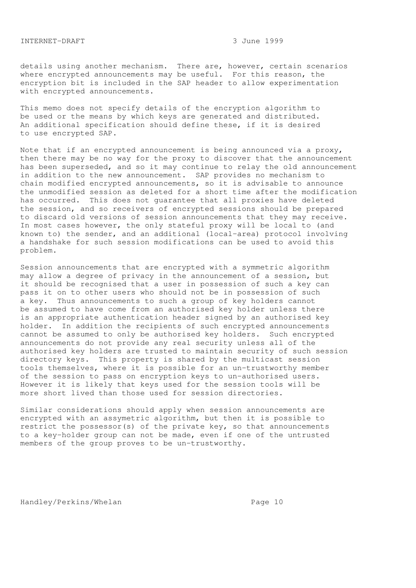details using another mechanism. There are, however, certain scenarios where encrypted announcements may be useful. For this reason, the encryption bit is included in the SAP header to allow experimentation with encrypted announcements.

This memo does not specify details of the encryption algorithm to be used or the means by which keys are generated and distributed. An additional specification should define these, if it is desired to use encrypted SAP.

Note that if an encrypted announcement is being announced via a proxy, then there may be no way for the proxy to discover that the announcement has been superseded, and so it may continue to relay the old announcement in addition to the new announcement. SAP provides no mechanism to chain modified encrypted announcements, so it is advisable to announce the unmodified session as deleted for a short time after the modification has occurred. This does not guarantee that all proxies have deleted the session, and so receivers of encrypted sessions should be prepared to discard old versions of session announcements that they may receive. In most cases however, the only stateful proxy will be local to (and known to) the sender, and an additional (local-area) protocol involving a handshake for such session modifications can be used to avoid this problem.

Session announcements that are encrypted with a symmetric algorithm may allow a degree of privacy in the announcement of a session, but it should be recognised that a user in possession of such a key can pass it on to other users who should not be in possession of such a key. Thus announcements to such a group of key holders cannot be assumed to have come from an authorised key holder unless there is an appropriate authentication header signed by an authorised key holder. In addition the recipients of such encrypted announcements cannot be assumed to only be authorised key holders. Such encrypted announcements do not provide any real security unless all of the authorised key holders are trusted to maintain security of such session directory keys. This property is shared by the multicast session tools themselves, where it is possible for an un-trustworthy member of the session to pass on encryption keys to un-authorised users. However it is likely that keys used for the session tools will be more short lived than those used for session directories.

Similar considerations should apply when session announcements are encrypted with an assymetric algorithm, but then it is possible to restrict the possessor(s) of the private key, so that announcements to a key-holder group can not be made, even if one of the untrusted members of the group proves to be un-trustworthy.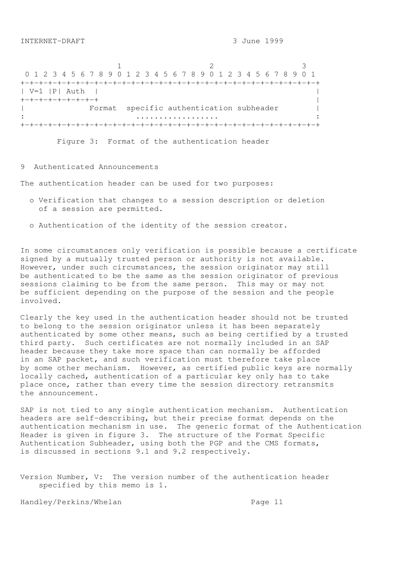1 2 3 0 1 2 3 4 5 6 7 8 9 0 1 2 3 4 5 6 7 8 9 0 1 2 3 4 5 6 7 8 9 0 1 +-+-+-+-+-+-+-+-+-+-+-+-+-+-+-+-+-+-+-+-+-+-+-+-+-+-+-+-+-+-+-+-+ | V=1 |P| Auth | | +-+-+-+-+-+-+-+-+ | Format specific authentication subheader | : .................. : +-+-+-+-+-+-+-+-+-+-+-+-+-+-+-+-+-+-+-+-+-+-+-+-+-+-+-+-+-+-+-+-+

Figure 3: Format of the authentication header

# 9 Authenticated Announcements

The authentication header can be used for two purposes:

- o Verification that changes to a session description or deletion of a session are permitted.
- o Authentication of the identity of the session creator.

In some circumstances only verification is possible because a certificate signed by a mutually trusted person or authority is not available. However, under such circumstances, the session originator may still be authenticated to be the same as the session originator of previous sessions claiming to be from the same person. This may or may not be sufficient depending on the purpose of the session and the people involved.

Clearly the key used in the authentication header should not be trusted to belong to the session originator unless it has been separately authenticated by some other means, such as being certified by a trusted third party. Such certificates are not normally included in an SAP header because they take more space than can normally be afforded in an SAP packet, and such verification must therefore take place by some other mechanism. However, as certified public keys are normally locally cached, authentication of a particular key only has to take place once, rather than every time the session directory retransmits the announcement.

SAP is not tied to any single authentication mechanism. Authentication headers are self-describing, but their precise format depends on the authentication mechanism in use. The generic format of the Authentication Header is given in figure 3. The structure of the Format Specific Authentication Subheader, using both the PGP and the CMS formats, is discussed in sections 9.1 and 9.2 respectively.

Version Number, V: The version number of the authentication header specified by this memo is 1.

Handley/Perkins/Whelan extended the Page 11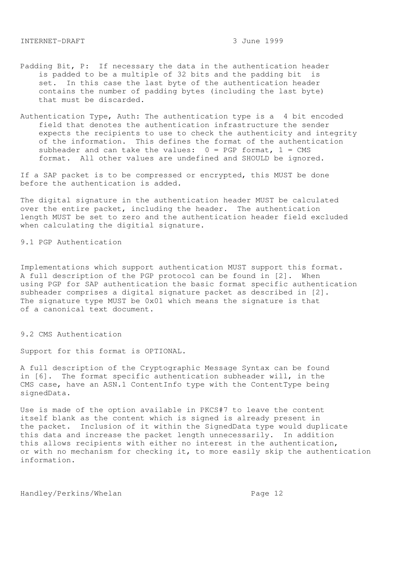- Padding Bit, P: If necessary the data in the authentication header is padded to be a multiple of 32 bits and the padding bit is set. In this case the last byte of the authentication header contains the number of padding bytes (including the last byte) that must be discarded.
- Authentication Type, Auth: The authentication type is a 4 bit encoded field that denotes the authentication infrastructure the sender expects the recipients to use to check the authenticity and integrity of the information. This defines the format of the authentication subheader and can take the values:  $0 = PGP$  format,  $1 = CMS$ format. All other values are undefined and SHOULD be ignored.

If a SAP packet is to be compressed or encrypted, this MUST be done before the authentication is added.

The digital signature in the authentication header MUST be calculated over the entire packet, including the header. The authentication length MUST be set to zero and the authentication header field excluded when calculating the digitial signature.

9.1 PGP Authentication

Implementations which support authentication MUST support this format. A full description of the PGP protocol can be found in [2]. When using PGP for SAP authentication the basic format specific authentication subheader comprises a digital signature packet as described in [2]. The signature type MUST be 0x01 which means the signature is that of a canonical text document.

9.2 CMS Authentication

Support for this format is OPTIONAL.

A full description of the Cryptographic Message Syntax can be found in [6]. The format specific authentication subheader will, in the CMS case, have an ASN.1 ContentInfo type with the ContentType being signedData.

Use is made of the option available in PKCS#7 to leave the content itself blank as the content which is signed is already present in the packet. Inclusion of it within the SignedData type would duplicate this data and increase the packet length unnecessarily. In addition this allows recipients with either no interest in the authentication, or with no mechanism for checking it, to more easily skip the authentication information.

Handley/Perkins/Whelan extended to the Page 12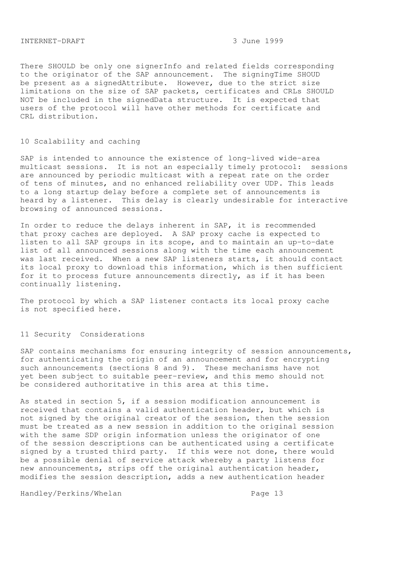There SHOULD be only one signerInfo and related fields corresponding to the originator of the SAP announcement. The signingTime SHOUD be present as a signedAttribute. However, due to the strict size limitations on the size of SAP packets, certificates and CRLs SHOULD NOT be included in the signedData structure. It is expected that users of the protocol will have other methods for certificate and CRL distribution.

# 10 Scalability and caching

SAP is intended to announce the existence of long-lived wide-area multicast sessions. It is not an especially timely protocol: sessions are announced by periodic multicast with a repeat rate on the order of tens of minutes, and no enhanced reliability over UDP. This leads to a long startup delay before a complete set of announcements is heard by a listener. This delay is clearly undesirable for interactive browsing of announced sessions.

In order to reduce the delays inherent in SAP, it is recommended that proxy caches are deployed. A SAP proxy cache is expected to listen to all SAP groups in its scope, and to maintain an up-to-date list of all announced sessions along with the time each announcement was last received. When a new SAP listeners starts, it should contact its local proxy to download this information, which is then sufficient for it to process future announcements directly, as if it has been continually listening.

The protocol by which a SAP listener contacts its local proxy cache is not specified here.

#### 11 Security Considerations

SAP contains mechanisms for ensuring integrity of session announcements, for authenticating the origin of an announcement and for encrypting such announcements (sections 8 and 9). These mechanisms have not yet been subject to suitable peer-review, and this memo should not be considered authoritative in this area at this time.

As stated in section 5, if a session modification announcement is received that contains a valid authentication header, but which is not signed by the original creator of the session, then the session must be treated as a new session in addition to the original session with the same SDP origin information unless the originator of one of the session descriptions can be authenticated using a certificate signed by a trusted third party. If this were not done, there would be a possible denial of service attack whereby a party listens for new announcements, strips off the original authentication header, modifies the session description, adds a new authentication header

Handley/Perkins/Whelan extended to the Page 13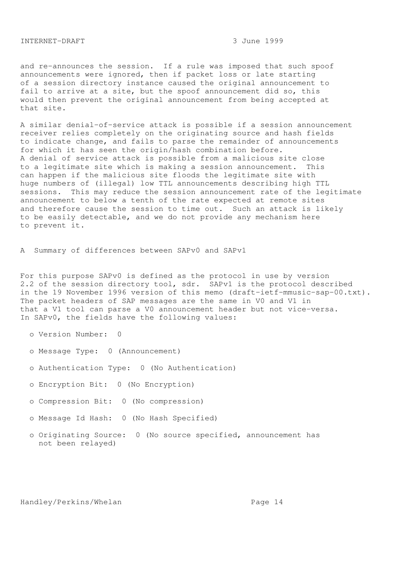and re-announces the session. If a rule was imposed that such spoof announcements were ignored, then if packet loss or late starting of a session directory instance caused the original announcement to fail to arrive at a site, but the spoof announcement did so, this would then prevent the original announcement from being accepted at that site.

A similar denial-of-service attack is possible if a session announcement receiver relies completely on the originating source and hash fields to indicate change, and fails to parse the remainder of announcements for which it has seen the origin/hash combination before. A denial of service attack is possible from a malicious site close to a legitimate site which is making a session announcement. This can happen if the malicious site floods the legitimate site with huge numbers of (illegal) low TTL announcements describing high TTL sessions. This may reduce the session announcement rate of the legitimate announcement to below a tenth of the rate expected at remote sites and therefore cause the session to time out. Such an attack is likely to be easily detectable, and we do not provide any mechanism here to prevent it.

A Summary of differences between SAPv0 and SAPv1

For this purpose SAPv0 is defined as the protocol in use by version 2.2 of the session directory tool, sdr. SAPv1 is the protocol described in the 19 November 1996 version of this memo (draft-ietf-mmusic-sap-00.txt). The packet headers of SAP messages are the same in V0 and V1 in that a V1 tool can parse a V0 announcement header but not vice-versa. In SAPv0, the fields have the following values:

o Version Number: 0

- o Message Type: 0 (Announcement)
- o Authentication Type: 0 (No Authentication)
- o Encryption Bit: 0 (No Encryption)
- o Compression Bit: 0 (No compression)
- o Message Id Hash: 0 (No Hash Specified)
- o Originating Source: 0 (No source specified, announcement has not been relayed)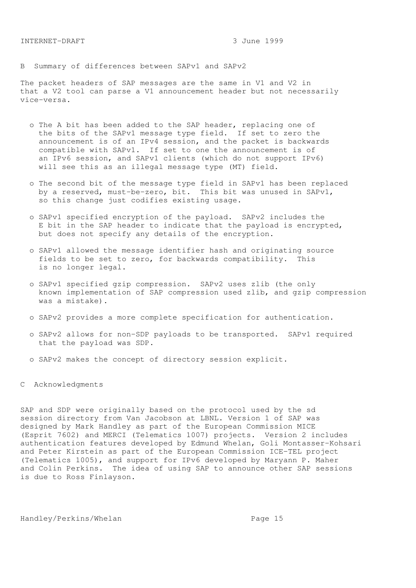B Summary of differences between SAPv1 and SAPv2

The packet headers of SAP messages are the same in V1 and V2 in that a V2 tool can parse a V1 announcement header but not necessarily vice-versa.

- o The A bit has been added to the SAP header, replacing one of the bits of the SAPv1 message type field. If set to zero the announcement is of an IPv4 session, and the packet is backwards compatible with SAPv1. If set to one the announcement is of an IPv6 session, and SAPv1 clients (which do not support IPv6) will see this as an illegal message type (MT) field.
- o The second bit of the message type field in SAPv1 has been replaced by a reserved, must-be-zero, bit. This bit was unused in SAPv1, so this change just codifies existing usage.
- o SAPv1 specified encryption of the payload. SAPv2 includes the E bit in the SAP header to indicate that the payload is encrypted, but does not specify any details of the encryption.
- o SAPv1 allowed the message identifier hash and originating source fields to be set to zero, for backwards compatibility. This is no longer legal.
- o SAPv1 specified gzip compression. SAPv2 uses zlib (the only known implementation of SAP compression used zlib, and gzip compression was a mistake).
- o SAPv2 provides a more complete specification for authentication.
- o SAPv2 allows for non-SDP payloads to be transported. SAPv1 required that the payload was SDP.
- o SAPv2 makes the concept of directory session explicit.

C Acknowledgments

SAP and SDP were originally based on the protocol used by the sd session directory from Van Jacobson at LBNL. Version 1 of SAP was designed by Mark Handley as part of the European Commission MICE (Esprit 7602) and MERCI (Telematics 1007) projects. Version 2 includes authentication features developed by Edmund Whelan, Goli Montasser-Kohsari and Peter Kirstein as part of the European Commission ICE-TEL project (Telematics 1005), and support for IPv6 developed by Maryann P. Maher and Colin Perkins. The idea of using SAP to announce other SAP sessions is due to Ross Finlayson.